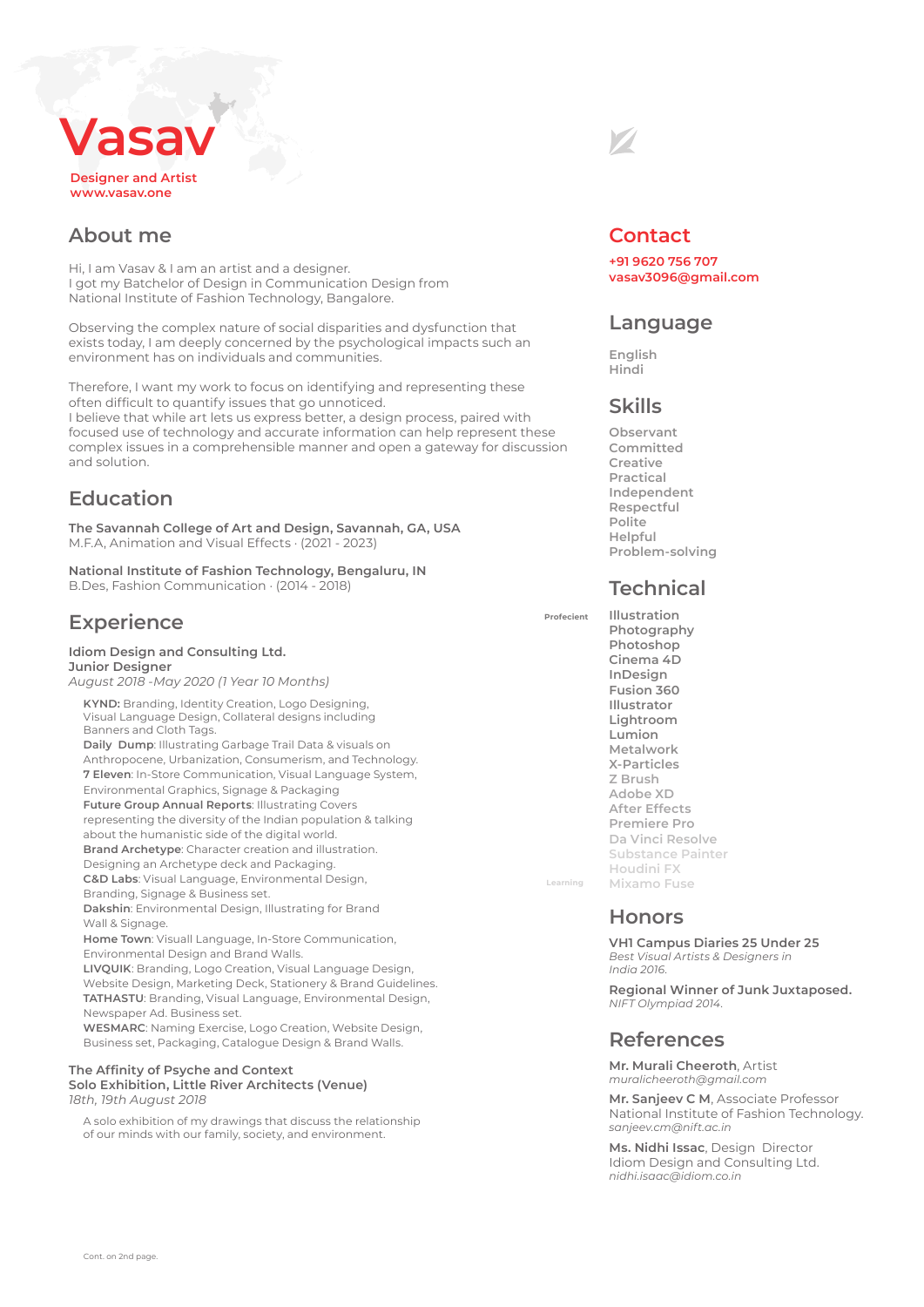# **Designer and Artist www.vasav.one Vasav**

## **About me**

Hi, I am Vasav & I am an artist and a designer. I got my Batchelor of Design in Communication Design from National Institute of Fashion Technology, Bangalore.

Observing the complex nature of social disparities and dysfunction that exists today, I am deeply concerned by the psychological impacts such an environment has on individuals and communities.

Therefore, I want my work to focus on identifying and representing these often difficult to quantify issues that go unnoticed. I believe that while art lets us express better, a design process, paired with focused use of technology and accurate information can help represent these complex issues in a comprehensible manner and open a gateway for discussion and solution.

# **Education**

**The Savannah College of Art and Design, Savannah, GA, USA** M.F.A, Animation and Visual Effects · (2021 - 2023)

**National Institute of Fashion Technology, Bengaluru, IN** B.Des, Fashion Communication · (2014 - 2018)

# **Experience**

#### **Idiom Design and Consulting Ltd. Junior Designer**

*August 2018 -May 2020 (1 Year 10 Months)*

 **KYND:** Branding, Identity Creation, Logo Designing, Visual Language Design, Collateral designs including Banners and Cloth Tags.

 **Daily Dump**: Illustrating Garbage Trail Data & visuals on Anthropocene, Urbanization, Consumerism, and Technology.  **7 Eleven**: In-Store Communication, Visual Language System, Environmental Graphics, Signage & Packaging

 **Future Group Annual Reports**: Illustrating Covers representing the diversity of the Indian population & talking about the humanistic side of the digital world.

 **Brand Archetype**: Character creation and illustration.

 Designing an Archetype deck and Packaging.  **C&D Labs**: Visual Language, Environmental Design,

 Branding, Signage & Business set.  **Dakshin**: Environmental Design, Illustrating for Brand

Wall & Signage.

 **Home Town**: Visuall Language, In-Store Communication, Environmental Design and Brand Walls.

 **LIVQUIK**: Branding, Logo Creation, Visual Language Design, Website Design, Marketing Deck, Stationery & Brand Guidelines.  **TATHASTU**: Branding, Visual Language, Environmental Design, Newspaper Ad. Business set.

 **WESMARC**: Naming Exercise, Logo Creation, Website Design, Business set, Packaging, Catalogue Design & Brand Walls.

#### **The Affinity of Psyche and Context Solo Exhibition, Little River Architects (Venue)**

*18th, 19th August 2018*

 A solo exhibition of my drawings that discuss the relationship of our minds with our family, society, and environment.



### **Contact**

**+91 9620 756 707 vasav3096@gmail.com**

### **Language**

**English Hindi** 

# **Skills**

**Observant Committed Creative Practical Independent Respectful Polite Helpful Problem-solving**

### **Technical**

**Illustration Photography Photoshop Cinema 4D InDesign Fusion 360 Illustrator Lightroom Lumion Metalwork X-Particles Z Brush Adobe XD After Effects Premiere Pro Da Vinci Resolve Substance Painter Houdini FX Mixamo Fuse**

### **Honors**

**Learning**

**Profecient**

**VH1 Campus Diaries 25 Under 25**  *Best Visual Artists & Designers in India 2016.*

**Regional Winner of Junk Juxtaposed.** *NIFT Olympiad 2014.*

### **References**

**Mr. Murali Cheeroth**, Artist *muralicheeroth@gmail.com*

**Mr. Sanjeev C M**, Associate Professor National Institute of Fashion Technology. *sanjeev.cm@nift.ac.in*

**Ms. Nidhi Issac**, Design Director Idiom Design and Consulting Ltd. *nidhi.isaac@idiom.co.in*